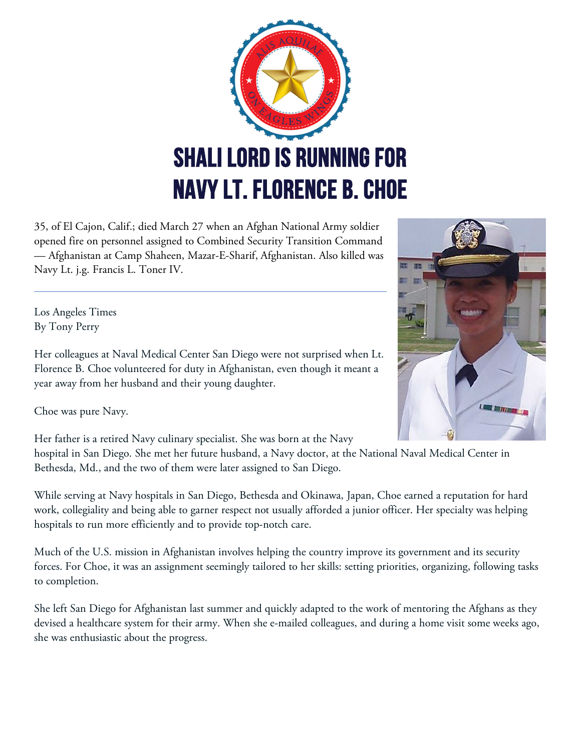

35, of El Cajon, Calif.; died March 27 when an Afghan National Army soldier opened fire on personnel assigned to Combined Security Transition Command — Afghanistan at Camp Shaheen, Mazar-E-Sharif, Afghanistan. Also killed was Navy Lt. j.g. Francis L. Toner IV.

Los Angeles Times By Tony Perry

Her colleagues at Naval Medical Center San Diego were not surprised when Lt. Florence B. Choe volunteered for duty in Afghanistan, even though it meant a year away from her husband and their young daughter.

Choe was pure Navy.

Her father is a retired Navy culinary specialist. She was born at the Navy

hospital in San Diego. She met her future husband, a Navy doctor, at the National Naval Medical Center in Bethesda, Md., and the two of them were later assigned to San Diego.

While serving at Navy hospitals in San Diego, Bethesda and Okinawa, Japan, Choe earned a reputation for hard work, collegiality and being able to garner respect not usually afforded a junior officer. Her specialty was helping hospitals to run more efficiently and to provide top-notch care.

Much of the U.S. mission in Afghanistan involves helping the country improve its government and its security forces. For Choe, it was an assignment seemingly tailored to her skills: setting priorities, organizing, following tasks to completion.

She left San Diego for Afghanistan last summer and quickly adapted to the work of mentoring the Afghans as they devised a healthcare system for their army. When she e-mailed colleagues, and during a home visit some weeks ago, she was enthusiastic about the progress.